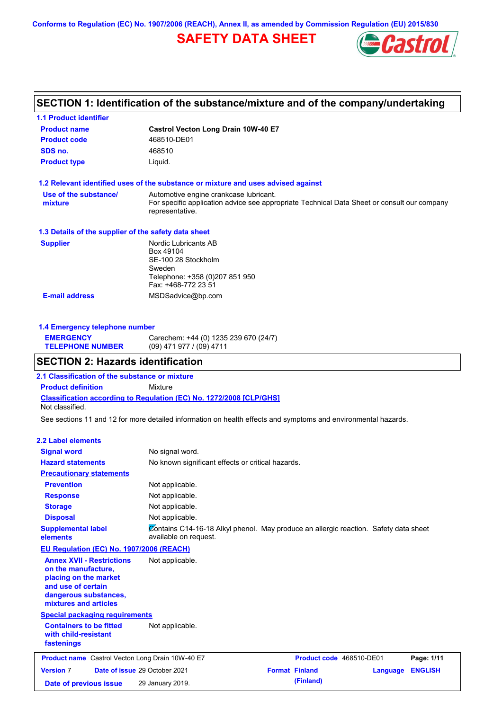**Conforms to Regulation (EC) No. 1907/2006 (REACH), Annex II, as amended by Commission Regulation (EU) 2015/830**

# **SAFETY DATA SHEET**



# **SECTION 1: Identification of the substance/mixture and of the company/undertaking**

| <b>1.1 Product identifier</b>                        |                                                                                                                |
|------------------------------------------------------|----------------------------------------------------------------------------------------------------------------|
| <b>Product name</b>                                  | Castrol Vecton Long Drain 10W-40 E7                                                                            |
| <b>Product code</b>                                  | 468510-DE01                                                                                                    |
| SDS no.                                              | 468510                                                                                                         |
| <b>Product type</b>                                  | Liquid.                                                                                                        |
|                                                      | 1.2 Relevant identified uses of the substance or mixture and uses advised against                              |
| Use of the substance/                                | Automotive engine crankcase lubricant.                                                                         |
| mixture                                              | For specific application advice see appropriate Technical Data Sheet or consult our company<br>representative. |
| 1.3 Details of the supplier of the safety data sheet |                                                                                                                |
| <b>Supplier</b>                                      | Nordic Lubricants AB                                                                                           |
|                                                      | Box 49104                                                                                                      |
|                                                      | SE-100 28 Stockholm<br>Sweden                                                                                  |
|                                                      | Telephone: +358 (0)207 851 950                                                                                 |
|                                                      | Fax: +468-772 23 51                                                                                            |
| <b>E-mail address</b>                                | MSDSadvice@bp.com                                                                                              |

| 1.4 Emergency telephone number |                                       |  |  |
|--------------------------------|---------------------------------------|--|--|
| <b>EMERGENCY</b>               | Carechem: +44 (0) 1235 239 670 (24/7) |  |  |
| <b>TELEPHONE NUMBER</b>        | $(09)$ 471 977 / (09) 4711            |  |  |

### **SECTION 2: Hazards identification**

**Classification according to Regulation (EC) No. 1272/2008 [CLP/GHS] 2.1 Classification of the substance or mixture Product definition** Mixture Not classified.

See sections 11 and 12 for more detailed information on health effects and symptoms and environmental hazards.

#### **2.2 Label elements**

| <b>Signal word</b>                                                                                                                                       | No signal word.                                                                                               |                       |                          |          |                |
|----------------------------------------------------------------------------------------------------------------------------------------------------------|---------------------------------------------------------------------------------------------------------------|-----------------------|--------------------------|----------|----------------|
| <b>Hazard statements</b>                                                                                                                                 | No known significant effects or critical hazards.                                                             |                       |                          |          |                |
| <b>Precautionary statements</b>                                                                                                                          |                                                                                                               |                       |                          |          |                |
| <b>Prevention</b>                                                                                                                                        | Not applicable.                                                                                               |                       |                          |          |                |
| <b>Response</b>                                                                                                                                          | Not applicable.                                                                                               |                       |                          |          |                |
| <b>Storage</b>                                                                                                                                           | Not applicable.                                                                                               |                       |                          |          |                |
| <b>Disposal</b>                                                                                                                                          | Not applicable.                                                                                               |                       |                          |          |                |
| <b>Supplemental label</b><br>elements                                                                                                                    | Contains C14-16-18 Alkyl phenol. May produce an allergic reaction. Safety data sheet<br>available on request. |                       |                          |          |                |
| <b>EU Regulation (EC) No. 1907/2006 (REACH)</b>                                                                                                          |                                                                                                               |                       |                          |          |                |
| <b>Annex XVII - Restrictions</b><br>on the manufacture,<br>placing on the market<br>and use of certain<br>dangerous substances,<br>mixtures and articles | Not applicable.                                                                                               |                       |                          |          |                |
| <b>Special packaging requirements</b>                                                                                                                    |                                                                                                               |                       |                          |          |                |
| <b>Containers to be fitted</b><br>with child-resistant<br>fastenings                                                                                     | Not applicable.                                                                                               |                       |                          |          |                |
| <b>Product name</b> Castrol Vecton Long Drain 10W-40 E7                                                                                                  |                                                                                                               |                       | Product code 468510-DE01 |          | Page: 1/11     |
| <b>Version 7</b>                                                                                                                                         | Date of issue 29 October 2021                                                                                 | <b>Format Finland</b> |                          | Language | <b>ENGLISH</b> |
| Date of previous issue                                                                                                                                   | 29 January 2019.                                                                                              |                       | (Finland)                |          |                |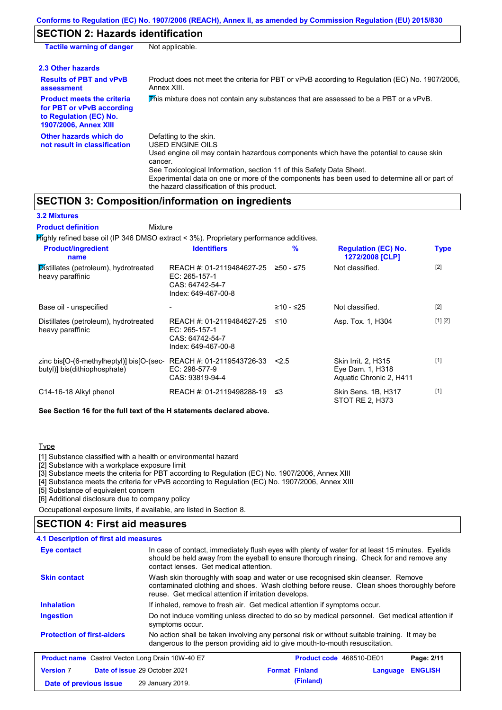## **SECTION 2: Hazards identification**

| <b>Tactile warning of danger</b>                                                                                         | Not applicable.                                                                                                                                                                                                                                                                                                                                                        |
|--------------------------------------------------------------------------------------------------------------------------|------------------------------------------------------------------------------------------------------------------------------------------------------------------------------------------------------------------------------------------------------------------------------------------------------------------------------------------------------------------------|
| 2.3 Other hazards                                                                                                        |                                                                                                                                                                                                                                                                                                                                                                        |
| <b>Results of PBT and vPvB</b><br>assessment                                                                             | Product does not meet the criteria for PBT or vPvB according to Regulation (EC) No. 1907/2006,<br>Annex XIII.                                                                                                                                                                                                                                                          |
| <b>Product meets the criteria</b><br>for PBT or vPvB according<br>to Regulation (EC) No.<br><b>1907/2006, Annex XIII</b> | This mixture does not contain any substances that are assessed to be a PBT or a vPvB.                                                                                                                                                                                                                                                                                  |
| Other hazards which do<br>not result in classification                                                                   | Defatting to the skin.<br>USED ENGINE OILS<br>Used engine oil may contain hazardous components which have the potential to cause skin<br>cancer.<br>See Toxicological Information, section 11 of this Safety Data Sheet.<br>Experimental data on one or more of the components has been used to determine all or part of<br>the hazard classification of this product. |

## **SECTION 3: Composition/information on ingredients**

Mixture

**3.2 Mixtures**

**Product definition**

Highly refined base oil (IP 346 DMSO extract < 3%). Proprietary performance additives.

| <b>Product/ingredient</b><br>name                                        | <b>Identifiers</b>                                                                   | $\frac{9}{6}$ | <b>Regulation (EC) No.</b><br>1272/2008 [CLP]                      | <b>Type</b> |
|--------------------------------------------------------------------------|--------------------------------------------------------------------------------------|---------------|--------------------------------------------------------------------|-------------|
| Distillates (petroleum), hydrotreated<br>heavy paraffinic                | REACH #: 01-2119484627-25<br>EC: 265-157-1<br>CAS: 64742-54-7<br>Index: 649-467-00-8 | $≥50 - ≤75$   | Not classified.                                                    | $[2]$       |
| Base oil - unspecified                                                   |                                                                                      | ≥10 - ≤25     | Not classified.                                                    | $[2]$       |
| Distillates (petroleum), hydrotreated<br>heavy paraffinic                | REACH #: 01-2119484627-25<br>EC: 265-157-1<br>CAS: 64742-54-7<br>Index: 649-467-00-8 | ≤10           | Asp. Tox. 1, H304                                                  | [1] [2]     |
| zinc bis[O-(6-methylheptyl)] bis[O-(sec-<br>butyl)] bis(dithiophosphate) | REACH #: 01-2119543726-33<br>$EC: 298-577-9$<br>CAS: 93819-94-4                      | 2.5           | Skin Irrit. 2, H315<br>Eye Dam. 1, H318<br>Aquatic Chronic 2, H411 | $[1]$       |
| C14-16-18 Alkyl phenol                                                   | REACH #: 01-2119498288-19                                                            | ב≥            | Skin Sens. 1B, H317<br>STOT RE 2, H373                             | $[1]$       |

**See Section 16 for the full text of the H statements declared above.**

### **Type**

[1] Substance classified with a health or environmental hazard

[2] Substance with a workplace exposure limit

[3] Substance meets the criteria for PBT according to Regulation (EC) No. 1907/2006, Annex XIII

[4] Substance meets the criteria for vPvB according to Regulation (EC) No. 1907/2006, Annex XIII

[5] Substance of equivalent concern

[6] Additional disclosure due to company policy

Occupational exposure limits, if available, are listed in Section 8.

### **SECTION 4: First aid measures**

#### **4.1 Description of first aid measures**

| Eye contact                                             | In case of contact, immediately flush eyes with plenty of water for at least 15 minutes. Eyelids<br>should be held away from the eyeball to ensure thorough rinsing. Check for and remove any<br>contact lenses. Get medical attention. |                                                                           |                |  |
|---------------------------------------------------------|-----------------------------------------------------------------------------------------------------------------------------------------------------------------------------------------------------------------------------------------|---------------------------------------------------------------------------|----------------|--|
| <b>Skin contact</b>                                     | Wash skin thoroughly with soap and water or use recognised skin cleanser. Remove<br>contaminated clothing and shoes. Wash clothing before reuse. Clean shoes thoroughly before<br>reuse. Get medical attention if irritation develops.  |                                                                           |                |  |
| <b>Inhalation</b>                                       |                                                                                                                                                                                                                                         | If inhaled, remove to fresh air. Get medical attention if symptoms occur. |                |  |
| <b>Ingestion</b>                                        | Do not induce vomiting unless directed to do so by medical personnel. Get medical attention if<br>symptoms occur.                                                                                                                       |                                                                           |                |  |
| <b>Protection of first-aiders</b>                       | No action shall be taken involving any personal risk or without suitable training. It may be<br>dangerous to the person providing aid to give mouth-to-mouth resuscitation.                                                             |                                                                           |                |  |
| <b>Product name</b> Castrol Vecton Long Drain 10W-40 E7 |                                                                                                                                                                                                                                         | <b>Product code</b> 468510-DE01                                           | Page: 2/11     |  |
| <b>Version 7</b>                                        | <b>Date of issue 29 October 2021</b>                                                                                                                                                                                                    | <b>Format Finland</b><br>Language                                         | <b>ENGLISH</b> |  |
| Date of previous issue                                  | 29 January 2019.                                                                                                                                                                                                                        | (Finland)                                                                 |                |  |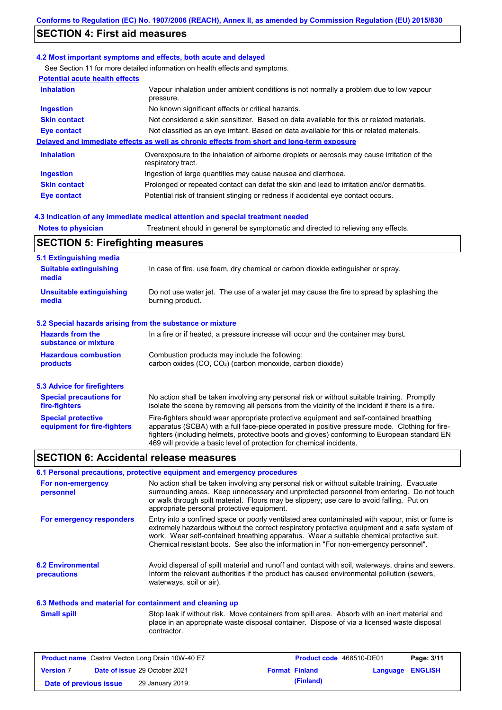# **SECTION 4: First aid measures**

#### **4.2 Most important symptoms and effects, both acute and delayed**

See Section 11 for more detailed information on health effects and symptoms.

| <b>Potential acute health effects</b> |                                                                                                                   |  |  |
|---------------------------------------|-------------------------------------------------------------------------------------------------------------------|--|--|
| <b>Inhalation</b>                     | Vapour inhalation under ambient conditions is not normally a problem due to low vapour<br>pressure.               |  |  |
| <b>Ingestion</b>                      | No known significant effects or critical hazards.                                                                 |  |  |
| <b>Skin contact</b>                   | Not considered a skin sensitizer. Based on data available for this or related materials.                          |  |  |
| <b>Eye contact</b>                    | Not classified as an eye irritant. Based on data available for this or related materials.                         |  |  |
|                                       | Delayed and immediate effects as well as chronic effects from short and long-term exposure                        |  |  |
| <b>Inhalation</b>                     | Overexposure to the inhalation of airborne droplets or aerosols may cause irritation of the<br>respiratory tract. |  |  |
| <b>Ingestion</b>                      | Ingestion of large quantities may cause nausea and diarrhoea.                                                     |  |  |
| <b>Skin contact</b>                   | Prolonged or repeated contact can defat the skin and lead to irritation and/or dermatitis.                        |  |  |
| Eye contact                           | Potential risk of transient stinging or redness if accidental eye contact occurs.                                 |  |  |

#### **4.3 Indication of any immediate medical attention and special treatment needed**

| <b>Notes to physician</b>                                                                                                              | Treatment should in general be symptomatic and directed to relieving any effects.                                                                                                                                                                                                                                                                                 |  |  |  |
|----------------------------------------------------------------------------------------------------------------------------------------|-------------------------------------------------------------------------------------------------------------------------------------------------------------------------------------------------------------------------------------------------------------------------------------------------------------------------------------------------------------------|--|--|--|
| <b>SECTION 5: Firefighting measures</b>                                                                                                |                                                                                                                                                                                                                                                                                                                                                                   |  |  |  |
| 5.1 Extinguishing media<br><b>Suitable extinguishing</b><br>media                                                                      | In case of fire, use foam, dry chemical or carbon dioxide extinguisher or spray.                                                                                                                                                                                                                                                                                  |  |  |  |
| <b>Unsuitable extinguishing</b><br>media                                                                                               | Do not use water jet. The use of a water jet may cause the fire to spread by splashing the<br>burning product.                                                                                                                                                                                                                                                    |  |  |  |
| 5.2 Special hazards arising from the substance or mixture                                                                              |                                                                                                                                                                                                                                                                                                                                                                   |  |  |  |
| <b>Hazards from the</b><br>In a fire or if heated, a pressure increase will occur and the container may burst.<br>substance or mixture |                                                                                                                                                                                                                                                                                                                                                                   |  |  |  |
| <b>Hazardous combustion</b><br>products                                                                                                | Combustion products may include the following:<br>carbon oxides (CO, CO <sub>2</sub> ) (carbon monoxide, carbon dioxide)                                                                                                                                                                                                                                          |  |  |  |
| <b>5.3 Advice for firefighters</b>                                                                                                     |                                                                                                                                                                                                                                                                                                                                                                   |  |  |  |
| <b>Special precautions for</b><br>fire-fighters                                                                                        | No action shall be taken involving any personal risk or without suitable training. Promptly<br>isolate the scene by removing all persons from the vicinity of the incident if there is a fire.                                                                                                                                                                    |  |  |  |
| <b>Special protective</b><br>equipment for fire-fighters                                                                               | Fire-fighters should wear appropriate protective equipment and self-contained breathing<br>apparatus (SCBA) with a full face-piece operated in positive pressure mode. Clothing for fire-<br>fighters (including helmets, protective boots and gloves) conforming to European standard EN<br>469 will provide a basic level of protection for chemical incidents. |  |  |  |

### **SECTION 6: Accidental release measures**

### **6.1 Personal precautions, protective equipment and emergency procedures**

| For non-emergency<br>personnel          | No action shall be taken involving any personal risk or without suitable training. Evacuate<br>surrounding areas. Keep unnecessary and unprotected personnel from entering. Do not touch<br>or walk through spilt material. Floors may be slippery; use care to avoid falling. Put on<br>appropriate personal protective equipment.                                                  |
|-----------------------------------------|--------------------------------------------------------------------------------------------------------------------------------------------------------------------------------------------------------------------------------------------------------------------------------------------------------------------------------------------------------------------------------------|
| For emergency responders                | Entry into a confined space or poorly ventilated area contaminated with vapour, mist or fume is<br>extremely hazardous without the correct respiratory protective equipment and a safe system of<br>work. Wear self-contained breathing apparatus. Wear a suitable chemical protective suit.<br>Chemical resistant boots. See also the information in "For non-emergency personnel". |
| <b>6.2 Environmental</b><br>precautions | Avoid dispersal of spilt material and runoff and contact with soil, waterways, drains and sewers.<br>Inform the relevant authorities if the product has caused environmental pollution (sewers,<br>waterways, soil or air).                                                                                                                                                          |

#### **6.3 Methods and material for containment and cleaning up**

Stop leak if without risk. Move containers from spill area. Absorb with an inert material and place in an appropriate waste disposal container. Dispose of via a licensed waste disposal contractor. **Small spill**

|                        | <b>Product name</b> Castrol Vecton Long Drain 10W-40 E7 | <b>Product code</b> 468510-DE01 |                  | Page: 3/11 |
|------------------------|---------------------------------------------------------|---------------------------------|------------------|------------|
| <b>Version 7</b>       | <b>Date of issue 29 October 2021</b>                    | <b>Format Finland</b>           | Language ENGLISH |            |
| Date of previous issue | 29 January 2019.                                        | (Finland)                       |                  |            |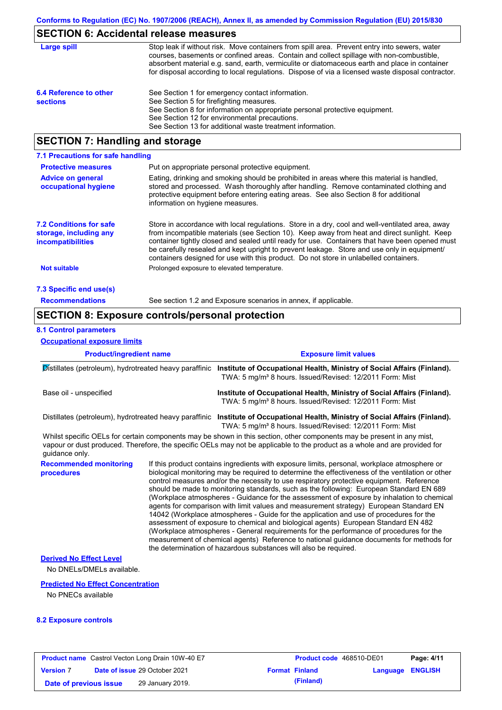### **SECTION 6: Accidental release measures**

| Large spill                               | Stop leak if without risk. Move containers from spill area. Prevent entry into sewers, water<br>courses, basements or confined areas. Contain and collect spillage with non-combustible,<br>absorbent material e.g. sand, earth, vermiculite or diatomaceous earth and place in container<br>for disposal according to local regulations. Dispose of via a licensed waste disposal contractor. |
|-------------------------------------------|------------------------------------------------------------------------------------------------------------------------------------------------------------------------------------------------------------------------------------------------------------------------------------------------------------------------------------------------------------------------------------------------|
| 6.4 Reference to other<br><b>sections</b> | See Section 1 for emergency contact information.<br>See Section 5 for firefighting measures.<br>See Section 8 for information on appropriate personal protective equipment.<br>See Section 12 for environmental precautions.<br>See Section 13 for additional waste treatment information.                                                                                                     |

### **SECTION 7: Handling and storage**

| 7.1 Precautions for safe handling                                                    |                                                                                                                                                                                                                                                                                                                                                                                                                                                                                          |
|--------------------------------------------------------------------------------------|------------------------------------------------------------------------------------------------------------------------------------------------------------------------------------------------------------------------------------------------------------------------------------------------------------------------------------------------------------------------------------------------------------------------------------------------------------------------------------------|
| <b>Protective measures</b>                                                           | Put on appropriate personal protective equipment.                                                                                                                                                                                                                                                                                                                                                                                                                                        |
| <b>Advice on general</b><br>occupational hygiene                                     | Eating, drinking and smoking should be prohibited in areas where this material is handled,<br>stored and processed. Wash thoroughly after handling. Remove contaminated clothing and<br>protective equipment before entering eating areas. See also Section 8 for additional<br>information on hygiene measures.                                                                                                                                                                         |
| <b>7.2 Conditions for safe</b><br>storage, including any<br><i>incompatibilities</i> | Store in accordance with local regulations. Store in a dry, cool and well-ventilated area, away<br>from incompatible materials (see Section 10). Keep away from heat and direct sunlight. Keep<br>container tightly closed and sealed until ready for use. Containers that have been opened must<br>be carefully resealed and kept upright to prevent leakage. Store and use only in equipment/<br>containers designed for use with this product. Do not store in unlabelled containers. |
| <b>Not suitable</b>                                                                  | Prolonged exposure to elevated temperature.                                                                                                                                                                                                                                                                                                                                                                                                                                              |
| 7.3 Specific end use(s)                                                              |                                                                                                                                                                                                                                                                                                                                                                                                                                                                                          |
| <b>Recommendations</b>                                                               | See section 1.2 and Exposure scenarios in annex, if applicable.                                                                                                                                                                                                                                                                                                                                                                                                                          |

### **SECTION 8: Exposure controls/personal protection**

### **8.1 Control parameters**

**Occupational exposure limits**

**Product/ingredient name Exposure limit values Recommended monitoring procedures** If this product contains ingredients with exposure limits, personal, workplace atmosphere or biological monitoring may be required to determine the effectiveness of the ventilation or other control measures and/or the necessity to use respiratory protective equipment. Reference should be made to monitoring standards, such as the following: European Standard EN 689 (Workplace atmospheres - Guidance for the assessment of exposure by inhalation to chemical agents for comparison with limit values and measurement strategy) European Standard EN 14042 (Workplace atmospheres - Guide for the application and use of procedures for the assessment of exposure to chemical and biological agents) European Standard EN 482 (Workplace atmospheres - General requirements for the performance of procedures for the measurement of chemical agents) Reference to national guidance documents for methods for the determination of hazardous substances will also be required. Distillates (petroleum), hydrotreated heavy paraffinic **Institute of Occupational Health, Ministry of Social Affairs (Finland).** TWA: 5 mg/m<sup>3</sup> 8 hours. Issued/Revised: 12/2011 Form: Mist Base oil - unspecified **Institute of Occupational Health, Ministry of Social Affairs (Finland).** TWA: 5 mg/m<sup>3</sup> 8 hours. Issued/Revised: 12/2011 Form: Mist Distillates (petroleum), hydrotreated heavy paraffinic **Institute of Occupational Health, Ministry of Social Affairs (Finland).** TWA: 5 mg/m<sup>3</sup> 8 hours. Issued/Revised: 12/2011 Form: Mist No DNELs/DMELs available. **Derived No Effect Level** Whilst specific OELs for certain components may be shown in this section, other components may be present in any mist, vapour or dust produced. Therefore, the specific OELs may not be applicable to the product as a whole and are provided for guidance only.

#### **Predicted No Effect Concentration**

No PNECs available

#### **8.2 Exposure controls**

|                        | <b>Product name</b> Castrol Vecton Long Drain 10W-40 E7 | Product code 468510-DE01 |                         | Page: 4/11 |
|------------------------|---------------------------------------------------------|--------------------------|-------------------------|------------|
| <b>Version 7</b>       | <b>Date of issue 29 October 2021</b>                    | <b>Format Finland</b>    | <b>Language ENGLISH</b> |            |
| Date of previous issue | 29 January 2019.                                        | (Finland)                |                         |            |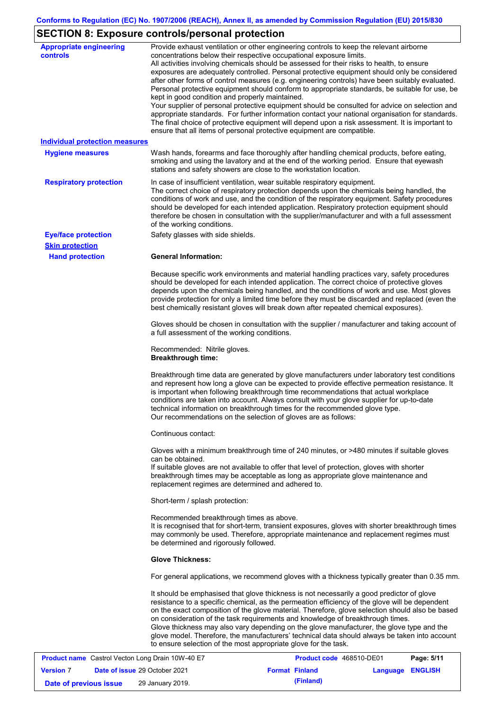# **SECTION 8: Exposure controls/personal protection**

| <b>Appropriate engineering</b><br><b>controls</b>       | Provide exhaust ventilation or other engineering controls to keep the relevant airborne<br>concentrations below their respective occupational exposure limits.<br>All activities involving chemicals should be assessed for their risks to health, to ensure<br>exposures are adequately controlled. Personal protective equipment should only be considered<br>after other forms of control measures (e.g. engineering controls) have been suitably evaluated.<br>Personal protective equipment should conform to appropriate standards, be suitable for use, be<br>kept in good condition and properly maintained.<br>Your supplier of personal protective equipment should be consulted for advice on selection and<br>appropriate standards. For further information contact your national organisation for standards.<br>The final choice of protective equipment will depend upon a risk assessment. It is important to<br>ensure that all items of personal protective equipment are compatible. |  |  |  |
|---------------------------------------------------------|---------------------------------------------------------------------------------------------------------------------------------------------------------------------------------------------------------------------------------------------------------------------------------------------------------------------------------------------------------------------------------------------------------------------------------------------------------------------------------------------------------------------------------------------------------------------------------------------------------------------------------------------------------------------------------------------------------------------------------------------------------------------------------------------------------------------------------------------------------------------------------------------------------------------------------------------------------------------------------------------------------|--|--|--|
| <b>Individual protection measures</b>                   |                                                                                                                                                                                                                                                                                                                                                                                                                                                                                                                                                                                                                                                                                                                                                                                                                                                                                                                                                                                                         |  |  |  |
| <b>Hygiene measures</b>                                 | Wash hands, forearms and face thoroughly after handling chemical products, before eating,<br>smoking and using the lavatory and at the end of the working period. Ensure that eyewash<br>stations and safety showers are close to the workstation location.                                                                                                                                                                                                                                                                                                                                                                                                                                                                                                                                                                                                                                                                                                                                             |  |  |  |
| <b>Respiratory protection</b>                           | In case of insufficient ventilation, wear suitable respiratory equipment.<br>The correct choice of respiratory protection depends upon the chemicals being handled, the<br>conditions of work and use, and the condition of the respiratory equipment. Safety procedures<br>should be developed for each intended application. Respiratory protection equipment should<br>therefore be chosen in consultation with the supplier/manufacturer and with a full assessment<br>of the working conditions.                                                                                                                                                                                                                                                                                                                                                                                                                                                                                                   |  |  |  |
| <b>Eye/face protection</b>                              | Safety glasses with side shields.                                                                                                                                                                                                                                                                                                                                                                                                                                                                                                                                                                                                                                                                                                                                                                                                                                                                                                                                                                       |  |  |  |
| <b>Skin protection</b><br><b>Hand protection</b>        | <b>General Information:</b>                                                                                                                                                                                                                                                                                                                                                                                                                                                                                                                                                                                                                                                                                                                                                                                                                                                                                                                                                                             |  |  |  |
|                                                         | Because specific work environments and material handling practices vary, safety procedures<br>should be developed for each intended application. The correct choice of protective gloves<br>depends upon the chemicals being handled, and the conditions of work and use. Most gloves<br>provide protection for only a limited time before they must be discarded and replaced (even the<br>best chemically resistant gloves will break down after repeated chemical exposures).                                                                                                                                                                                                                                                                                                                                                                                                                                                                                                                        |  |  |  |
|                                                         | Gloves should be chosen in consultation with the supplier / manufacturer and taking account of<br>a full assessment of the working conditions.                                                                                                                                                                                                                                                                                                                                                                                                                                                                                                                                                                                                                                                                                                                                                                                                                                                          |  |  |  |
|                                                         | Recommended: Nitrile gloves.<br><b>Breakthrough time:</b>                                                                                                                                                                                                                                                                                                                                                                                                                                                                                                                                                                                                                                                                                                                                                                                                                                                                                                                                               |  |  |  |
|                                                         | Breakthrough time data are generated by glove manufacturers under laboratory test conditions<br>and represent how long a glove can be expected to provide effective permeation resistance. It<br>is important when following breakthrough time recommendations that actual workplace<br>conditions are taken into account. Always consult with your glove supplier for up-to-date<br>technical information on breakthrough times for the recommended glove type.<br>Our recommendations on the selection of gloves are as follows:                                                                                                                                                                                                                                                                                                                                                                                                                                                                      |  |  |  |
|                                                         | Continuous contact:                                                                                                                                                                                                                                                                                                                                                                                                                                                                                                                                                                                                                                                                                                                                                                                                                                                                                                                                                                                     |  |  |  |
|                                                         | Gloves with a minimum breakthrough time of 240 minutes, or >480 minutes if suitable gloves<br>can be obtained.<br>If suitable gloves are not available to offer that level of protection, gloves with shorter<br>breakthrough times may be acceptable as long as appropriate glove maintenance and<br>replacement regimes are determined and adhered to.                                                                                                                                                                                                                                                                                                                                                                                                                                                                                                                                                                                                                                                |  |  |  |
|                                                         | Short-term / splash protection:                                                                                                                                                                                                                                                                                                                                                                                                                                                                                                                                                                                                                                                                                                                                                                                                                                                                                                                                                                         |  |  |  |
|                                                         | Recommended breakthrough times as above.<br>It is recognised that for short-term, transient exposures, gloves with shorter breakthrough times<br>may commonly be used. Therefore, appropriate maintenance and replacement regimes must<br>be determined and rigorously followed.                                                                                                                                                                                                                                                                                                                                                                                                                                                                                                                                                                                                                                                                                                                        |  |  |  |
|                                                         | <b>Glove Thickness:</b>                                                                                                                                                                                                                                                                                                                                                                                                                                                                                                                                                                                                                                                                                                                                                                                                                                                                                                                                                                                 |  |  |  |
|                                                         | For general applications, we recommend gloves with a thickness typically greater than 0.35 mm.                                                                                                                                                                                                                                                                                                                                                                                                                                                                                                                                                                                                                                                                                                                                                                                                                                                                                                          |  |  |  |
|                                                         | It should be emphasised that glove thickness is not necessarily a good predictor of glove<br>resistance to a specific chemical, as the permeation efficiency of the glove will be dependent<br>on the exact composition of the glove material. Therefore, glove selection should also be based<br>on consideration of the task requirements and knowledge of breakthrough times.<br>Glove thickness may also vary depending on the glove manufacturer, the glove type and the<br>glove model. Therefore, the manufacturers' technical data should always be taken into account<br>to ensure selection of the most appropriate glove for the task.                                                                                                                                                                                                                                                                                                                                                       |  |  |  |
| <b>Product name</b> Castrol Vector Long Drain 10W-40 EZ | <b>Droduct code</b> A68510-DE01<br>D <sub>2</sub> na: 5/11                                                                                                                                                                                                                                                                                                                                                                                                                                                                                                                                                                                                                                                                                                                                                                                                                                                                                                                                              |  |  |  |

|                        | <b>Product name</b> Castrol Vecton Long Drain 10W-40 E7 | Product code 468510-DE01 |                  | Page: 5/11 |
|------------------------|---------------------------------------------------------|--------------------------|------------------|------------|
| <b>Version 7</b>       | <b>Date of issue 29 October 2021</b>                    | <b>Format Finland</b>    | Language ENGLISH |            |
| Date of previous issue | 29 January 2019.                                        | (Finland)                |                  |            |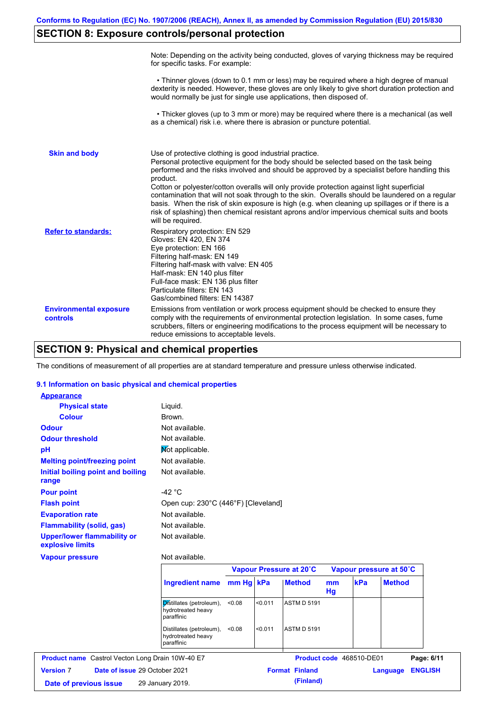# **SECTION 8: Exposure controls/personal protection**

|                                           | Note: Depending on the activity being conducted, gloves of varying thickness may be required<br>for specific tasks. For example:                                                                                                                                                                                                                                                                                                                                                                                                                                                                                                                                                      |
|-------------------------------------------|---------------------------------------------------------------------------------------------------------------------------------------------------------------------------------------------------------------------------------------------------------------------------------------------------------------------------------------------------------------------------------------------------------------------------------------------------------------------------------------------------------------------------------------------------------------------------------------------------------------------------------------------------------------------------------------|
|                                           | • Thinner gloves (down to 0.1 mm or less) may be required where a high degree of manual<br>dexterity is needed. However, these gloves are only likely to give short duration protection and<br>would normally be just for single use applications, then disposed of.                                                                                                                                                                                                                                                                                                                                                                                                                  |
|                                           | • Thicker gloves (up to 3 mm or more) may be required where there is a mechanical (as well<br>as a chemical) risk i.e. where there is abrasion or puncture potential.                                                                                                                                                                                                                                                                                                                                                                                                                                                                                                                 |
| <b>Skin and body</b>                      | Use of protective clothing is good industrial practice.<br>Personal protective equipment for the body should be selected based on the task being<br>performed and the risks involved and should be approved by a specialist before handling this<br>product.<br>Cotton or polyester/cotton overalls will only provide protection against light superficial<br>contamination that will not soak through to the skin. Overalls should be laundered on a regular<br>basis. When the risk of skin exposure is high (e.g. when cleaning up spillages or if there is a<br>risk of splashing) then chemical resistant aprons and/or impervious chemical suits and boots<br>will be required. |
| <b>Refer to standards:</b>                | Respiratory protection: EN 529<br>Gloves: EN 420, EN 374<br>Eye protection: EN 166<br>Filtering half-mask: EN 149<br>Filtering half-mask with valve: EN 405<br>Half-mask: EN 140 plus filter<br>Full-face mask: EN 136 plus filter<br>Particulate filters: EN 143<br>Gas/combined filters: EN 14387                                                                                                                                                                                                                                                                                                                                                                                   |
| <b>Environmental exposure</b><br>controls | Emissions from ventilation or work process equipment should be checked to ensure they<br>comply with the requirements of environmental protection legislation. In some cases, fume<br>scrubbers, filters or engineering modifications to the process equipment will be necessary to<br>reduce emissions to acceptable levels.                                                                                                                                                                                                                                                                                                                                                         |

# **SECTION 9: Physical and chemical properties**

The conditions of measurement of all properties are at standard temperature and pressure unless otherwise indicated.

### **9.1 Information on basic physical and chemical properties**

| <b>Appearance</b>                          |                                                              |           |         |                         |          |     |                         |
|--------------------------------------------|--------------------------------------------------------------|-----------|---------|-------------------------|----------|-----|-------------------------|
| <b>Physical state</b>                      | Liquid.                                                      |           |         |                         |          |     |                         |
| <b>Colour</b>                              | Brown.                                                       |           |         |                         |          |     |                         |
| <b>Odour</b>                               | Not available.                                               |           |         |                         |          |     |                         |
| <b>Odour threshold</b>                     | Not available.                                               |           |         |                         |          |     |                         |
| pH                                         | Not applicable.                                              |           |         |                         |          |     |                         |
| <b>Melting point/freezing point</b>        | Not available.                                               |           |         |                         |          |     |                         |
| Initial boiling point and boiling<br>range | Not available.                                               |           |         |                         |          |     |                         |
| <b>Pour point</b>                          | $-42 °C$                                                     |           |         |                         |          |     |                         |
| <b>Flash point</b>                         | Open cup: 230°C (446°F) [Cleveland]                          |           |         |                         |          |     |                         |
| <b>Evaporation rate</b>                    | Not available.                                               |           |         |                         |          |     |                         |
| <b>Flammability (solid, gas)</b>           | Not available.                                               |           |         |                         |          |     |                         |
| <b>Upper/lower flammability or</b>         | Not available.                                               |           |         |                         |          |     |                         |
|                                            |                                                              |           |         |                         |          |     |                         |
|                                            | Not available.                                               |           |         |                         |          |     |                         |
| explosive limits<br><b>Vapour pressure</b> |                                                              |           |         | Vapour Pressure at 20°C |          |     | Vapour pressure at 50°C |
|                                            | <b>Ingredient name</b>                                       | mm Hg kPa |         | <b>Method</b>           | mm<br>Hg | kPa | <b>Method</b>           |
|                                            | Distillates (petroleum),<br>hydrotreated heavy<br>paraffinic | < 0.08    | < 0.011 | <b>ASTM D 5191</b>      |          |     |                         |

**Date of issue** 29 October 2021 **Format** 

| <b>Product code</b> 468510-DE01 | Page: 6/11       |  |  |
|---------------------------------|------------------|--|--|
| <b>Finland</b>                  | Language ENGLISH |  |  |

| Date of previous issue | 29 January 2019. | (Finland) |
|------------------------|------------------|-----------|
|------------------------|------------------|-----------|

**Version** 7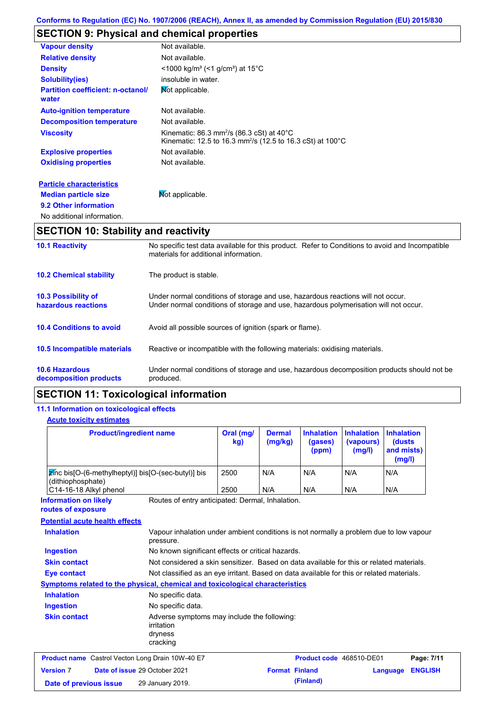# **SECTION 9: Physical and chemical properties**

| <b>Vapour density</b>                             | Not available.                                                                                                                                  |
|---------------------------------------------------|-------------------------------------------------------------------------------------------------------------------------------------------------|
| <b>Relative density</b>                           | Not available.                                                                                                                                  |
| <b>Density</b>                                    | $<$ 1000 kg/m <sup>3</sup> (<1 g/cm <sup>3</sup> ) at 15 <sup>°</sup> C                                                                         |
| <b>Solubility(ies)</b>                            | insoluble in water.                                                                                                                             |
| <b>Partition coefficient: n-octanol/</b><br>water | Mot applicable.                                                                                                                                 |
| <b>Auto-ignition temperature</b>                  | Not available.                                                                                                                                  |
| <b>Decomposition temperature</b>                  | Not available.                                                                                                                                  |
| <b>Viscosity</b>                                  | Kinematic: $86.3$ mm <sup>2</sup> /s ( $86.3$ cSt) at $40^{\circ}$ C<br>Kinematic: 12.5 to 16.3 mm <sup>2</sup> /s (12.5 to 16.3 cSt) at 100 °C |
| <b>Explosive properties</b>                       | Not available.                                                                                                                                  |
| <b>Oxidising properties</b>                       | Not available.                                                                                                                                  |
| <b>Particle characteristics</b>                   |                                                                                                                                                 |
| <b>Median particle size</b>                       | Not applicable.                                                                                                                                 |
| 9.2 Other information                             |                                                                                                                                                 |
| No additional information.                        |                                                                                                                                                 |
| <b>SECTION 10: Stability and reactivity</b>       |                                                                                                                                                 |
| <b>10.1 Reactivity</b>                            | No specific test data available for this product. Refer to Conditions to avoid and Incompatible                                                 |

|                                                   | materials for additional information.                                                                                                                                   |
|---------------------------------------------------|-------------------------------------------------------------------------------------------------------------------------------------------------------------------------|
| <b>10.2 Chemical stability</b>                    | The product is stable.                                                                                                                                                  |
| <b>10.3 Possibility of</b><br>hazardous reactions | Under normal conditions of storage and use, hazardous reactions will not occur.<br>Under normal conditions of storage and use, hazardous polymerisation will not occur. |
| <b>10.4 Conditions to avoid</b>                   | Avoid all possible sources of ignition (spark or flame).                                                                                                                |
| <b>10.5 Incompatible materials</b>                | Reactive or incompatible with the following materials: oxidising materials.                                                                                             |
| <b>10.6 Hazardous</b><br>decomposition products   | Under normal conditions of storage and use, hazardous decomposition products should not be<br>produced.                                                                 |

# **SECTION 11: Toxicological information**

### **11.1 Information on toxicological effects**

### **Acute toxicity estimates**

| <b>Product/ingredient name</b>                                                                                  |                                                                                                     | Oral (mg/<br>kg) | <b>Dermal</b><br>(mg/kg) | <b>Inhalation</b><br>(gases)<br>(ppm) | <b>Inhalation</b><br>(vapours)<br>(mg/l) | <b>Inhalation</b><br>(dusts<br>and mists)<br>(mg/l) |  |
|-----------------------------------------------------------------------------------------------------------------|-----------------------------------------------------------------------------------------------------|------------------|--------------------------|---------------------------------------|------------------------------------------|-----------------------------------------------------|--|
| zinc bis[O-(6-methylheptyl)] bis[O-(sec-butyl)] bis<br>(dithiophosphate)                                        |                                                                                                     | 2500             | N/A                      | N/A                                   | N/A                                      | N/A                                                 |  |
| C14-16-18 Alkyl phenol                                                                                          |                                                                                                     | 2500             | N/A                      | N/A                                   | N/A                                      | N/A                                                 |  |
| <b>Information on likely</b><br>routes of exposure                                                              | Routes of entry anticipated: Dermal, Inhalation.                                                    |                  |                          |                                       |                                          |                                                     |  |
| <b>Potential acute health effects</b>                                                                           |                                                                                                     |                  |                          |                                       |                                          |                                                     |  |
| <b>Inhalation</b>                                                                                               | Vapour inhalation under ambient conditions is not normally a problem due to low vapour<br>pressure. |                  |                          |                                       |                                          |                                                     |  |
| <b>Ingestion</b><br>No known significant effects or critical hazards.                                           |                                                                                                     |                  |                          |                                       |                                          |                                                     |  |
| Not considered a skin sensitizer. Based on data available for this or related materials.<br><b>Skin contact</b> |                                                                                                     |                  |                          |                                       |                                          |                                                     |  |
| Not classified as an eye irritant. Based on data available for this or related materials.<br><b>Eye contact</b> |                                                                                                     |                  |                          |                                       |                                          |                                                     |  |
| Symptoms related to the physical, chemical and toxicological characteristics                                    |                                                                                                     |                  |                          |                                       |                                          |                                                     |  |
| <b>Inhalation</b>                                                                                               | No specific data.                                                                                   |                  |                          |                                       |                                          |                                                     |  |
| <b>Ingestion</b>                                                                                                | No specific data.                                                                                   |                  |                          |                                       |                                          |                                                     |  |
| <b>Skin contact</b>                                                                                             | Adverse symptoms may include the following:<br>irritation<br>dryness<br>cracking                    |                  |                          |                                       |                                          |                                                     |  |
| <b>Product name</b> Castrol Vecton Long Drain 10W-40 E7                                                         |                                                                                                     |                  |                          | Product code 468510-DE01              |                                          | Page: 7/11                                          |  |
| <b>Version 7</b>                                                                                                | Date of issue 29 October 2021                                                                       |                  | <b>Format Finland</b>    |                                       |                                          | <b>ENGLISH</b><br>Language                          |  |
| Date of previous issue                                                                                          | 29 January 2019.                                                                                    |                  |                          | (Finland)                             |                                          |                                                     |  |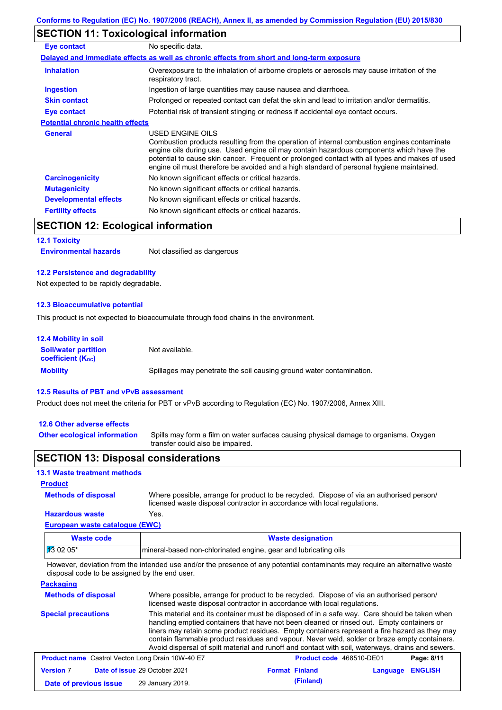# **SECTION 11: Toxicological information**

| Eye contact                             | No specific data.                                                                                                                                                                                                                                                                                                                                                                                        |
|-----------------------------------------|----------------------------------------------------------------------------------------------------------------------------------------------------------------------------------------------------------------------------------------------------------------------------------------------------------------------------------------------------------------------------------------------------------|
|                                         | Delayed and immediate effects as well as chronic effects from short and long-term exposure                                                                                                                                                                                                                                                                                                               |
| <b>Inhalation</b>                       | Overexposure to the inhalation of airborne droplets or aerosols may cause irritation of the<br>respiratory tract.                                                                                                                                                                                                                                                                                        |
| <b>Ingestion</b>                        | Ingestion of large quantities may cause nausea and diarrhoea.                                                                                                                                                                                                                                                                                                                                            |
| <b>Skin contact</b>                     | Prolonged or repeated contact can defat the skin and lead to irritation and/or dermatitis.                                                                                                                                                                                                                                                                                                               |
| Eye contact                             | Potential risk of transient stinging or redness if accidental eye contact occurs.                                                                                                                                                                                                                                                                                                                        |
| <b>Potential chronic health effects</b> |                                                                                                                                                                                                                                                                                                                                                                                                          |
| General                                 | USED ENGINE OILS<br>Combustion products resulting from the operation of internal combustion engines contaminate<br>engine oils during use. Used engine oil may contain hazardous components which have the<br>potential to cause skin cancer. Frequent or prolonged contact with all types and makes of used<br>engine oil must therefore be avoided and a high standard of personal hygiene maintained. |
| <b>Carcinogenicity</b>                  | No known significant effects or critical hazards.                                                                                                                                                                                                                                                                                                                                                        |
| <b>Mutagenicity</b>                     | No known significant effects or critical hazards.                                                                                                                                                                                                                                                                                                                                                        |
| <b>Developmental effects</b>            | No known significant effects or critical hazards.                                                                                                                                                                                                                                                                                                                                                        |
| <b>Fertility effects</b>                | No known significant effects or critical hazards.                                                                                                                                                                                                                                                                                                                                                        |

## **SECTION 12: Ecological information**

#### **12.1 Toxicity**

| <b>Environmental hazards</b> | Not classified as dangerous |
|------------------------------|-----------------------------|
|------------------------------|-----------------------------|

#### **12.2 Persistence and degradability**

Not expected to be rapidly degradable.

#### **12.3 Bioaccumulative potential**

This product is not expected to bioaccumulate through food chains in the environment.

| <b>12.4 Mobility in soil</b>                            |                                                                      |
|---------------------------------------------------------|----------------------------------------------------------------------|
| <b>Soil/water partition</b><br><b>coefficient (Koc)</b> | Not available.                                                       |
| <b>Mobility</b>                                         | Spillages may penetrate the soil causing ground water contamination. |

### **12.5 Results of PBT and vPvB assessment**

Product does not meet the criteria for PBT or vPvB according to Regulation (EC) No. 1907/2006, Annex XIII.

#### **12.6 Other adverse effects**

**Other ecological information**

Spills may form a film on water surfaces causing physical damage to organisms. Oxygen transfer could also be impaired.

### **SECTION 13: Disposal considerations**

| 13.1 Waste treatment methods |                     |
|------------------------------|---------------------|
| <b>Product</b>               |                     |
| <b>Methods of disposal</b>   | Where possible, arr |

range for product to be recycled. Dispose of via an authorised person/ licensed waste disposal contractor in accordance with local regulations.

### **Hazardous waste** Yes.

|  | European waste catalogue (EWC) |  |
|--|--------------------------------|--|
|  |                                |  |

| <b>Waste code</b> | <b>Waste designation</b>                                         |
|-------------------|------------------------------------------------------------------|
| $130205*$         | Imineral-based non-chlorinated engine, gear and lubricating oils |

However, deviation from the intended use and/or the presence of any potential contaminants may require an alternative waste disposal code to be assigned by the end user.

### **Packaging**

| <b>Methods of disposal</b>                              |                                      | Where possible, arrange for product to be recycled. Dispose of via an authorised person/<br>licensed waste disposal contractor in accordance with local regulations.                                                                                                                                                                                                                                                                                                                            |          |                |
|---------------------------------------------------------|--------------------------------------|-------------------------------------------------------------------------------------------------------------------------------------------------------------------------------------------------------------------------------------------------------------------------------------------------------------------------------------------------------------------------------------------------------------------------------------------------------------------------------------------------|----------|----------------|
| <b>Special precautions</b>                              |                                      | This material and its container must be disposed of in a safe way. Care should be taken when<br>handling emptied containers that have not been cleaned or rinsed out. Empty containers or<br>liners may retain some product residues. Empty containers represent a fire hazard as they may<br>contain flammable product residues and vapour. Never weld, solder or braze empty containers.<br>Avoid dispersal of spilt material and runoff and contact with soil, waterways, drains and sewers. |          |                |
| <b>Product name</b> Castrol Vecton Long Drain 10W-40 E7 |                                      | Product code 468510-DE01                                                                                                                                                                                                                                                                                                                                                                                                                                                                        |          | Page: 8/11     |
| <b>Version 7</b>                                        | <b>Date of issue 29 October 2021</b> | <b>Format Finland</b>                                                                                                                                                                                                                                                                                                                                                                                                                                                                           | Language | <b>ENGLISH</b> |

| <b>Version 7</b>       | <b>Date of issue 29 October 2021</b> | <b>Format Finland</b> | <b>Language ENGLISH</b> |  |
|------------------------|--------------------------------------|-----------------------|-------------------------|--|
| Date of previous issue | 29 January 2019.                     | (Finland)             |                         |  |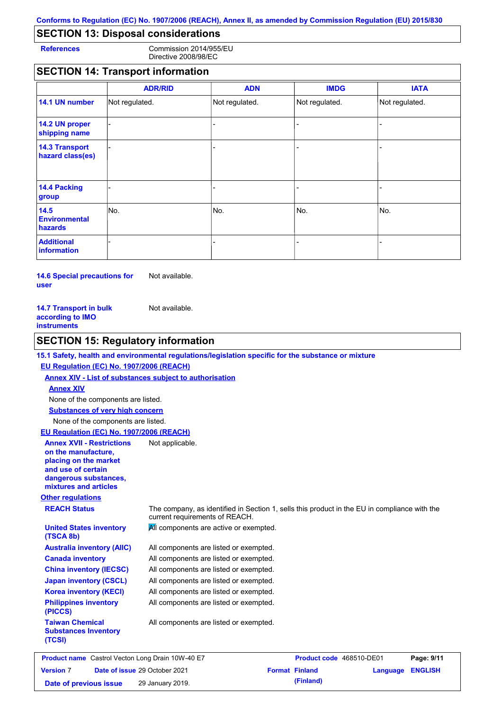# **SECTION 13: Disposal considerations**

**References** Commission 2014/955/EU Directive 2008/98/EC

## **SECTION 14: Transport information**

|                                           | <b>ADR/RID</b> | <b>ADN</b>     | <b>IMDG</b>    | <b>IATA</b>    |
|-------------------------------------------|----------------|----------------|----------------|----------------|
| 14.1 UN number                            | Not regulated. | Not regulated. | Not regulated. | Not regulated. |
| 14.2 UN proper<br>shipping name           |                |                |                |                |
| <b>14.3 Transport</b><br>hazard class(es) |                |                |                |                |
| 14.4 Packing<br>group                     |                |                |                |                |
| 14.5<br><b>Environmental</b><br>hazards   | No.            | No.            | No.            | No.            |
| <b>Additional</b><br>information          |                |                |                |                |

**14.6 Special precautions for user** Not available.

| Not available. |
|----------------|
|                |
|                |
|                |

### **SECTION 15: Regulatory information**

**15.1 Safety, health and environmental regulations/legislation specific for the substance or mixture**

#### **EU Regulation (EC) No. 1907/2006 (REACH)**

**Annex XIV - List of substances subject to authorisation**

#### **Annex XIV**

None of the components are listed.

**Substances of very high concern**

None of the components are listed.

#### **EU Regulation (EC) No. 1907/2006 (REACH)**

| <b>Annex XVII - Restrictions</b><br>on the manufacture,<br>placing on the market<br>and use of certain<br>dangerous substances,<br>mixtures and articles | Not applicable.                                                                                                                |
|----------------------------------------------------------------------------------------------------------------------------------------------------------|--------------------------------------------------------------------------------------------------------------------------------|
| <b>Other regulations</b>                                                                                                                                 |                                                                                                                                |
| <b>REACH Status</b>                                                                                                                                      | The company, as identified in Section 1, sells this product in the EU in compliance with the<br>current requirements of REACH. |
| <b>United States inventory</b><br>(TSCA 8b)                                                                                                              | All components are active or exempted.                                                                                         |
| <b>Australia inventory (AIIC)</b>                                                                                                                        | All components are listed or exempted.                                                                                         |
| <b>Canada inventory</b>                                                                                                                                  | All components are listed or exempted.                                                                                         |
| <b>China inventory (IECSC)</b>                                                                                                                           | All components are listed or exempted.                                                                                         |
| <b>Japan inventory (CSCL)</b>                                                                                                                            | All components are listed or exempted.                                                                                         |
| <b>Korea inventory (KECI)</b>                                                                                                                            | All components are listed or exempted.                                                                                         |
| <b>Philippines inventory</b><br>(PICCS)                                                                                                                  | All components are listed or exempted.                                                                                         |
| <b>Taiwan Chemical</b><br><b>Substances Inventory</b><br>(TCSI)                                                                                          | All components are listed or exempted.                                                                                         |
|                                                                                                                                                          |                                                                                                                                |

|                        | <b>Product name</b> Castrol Vecton Long Drain 10W-40 E7 | <b>Product code</b> 468510-DE01 |                  | Page: 9/11 |
|------------------------|---------------------------------------------------------|---------------------------------|------------------|------------|
| <b>Version 7</b>       | <b>Date of issue 29 October 2021</b>                    | <b>Format Finland</b>           | Language ENGLISH |            |
| Date of previous issue | 29 January 2019.                                        | (Finland)                       |                  |            |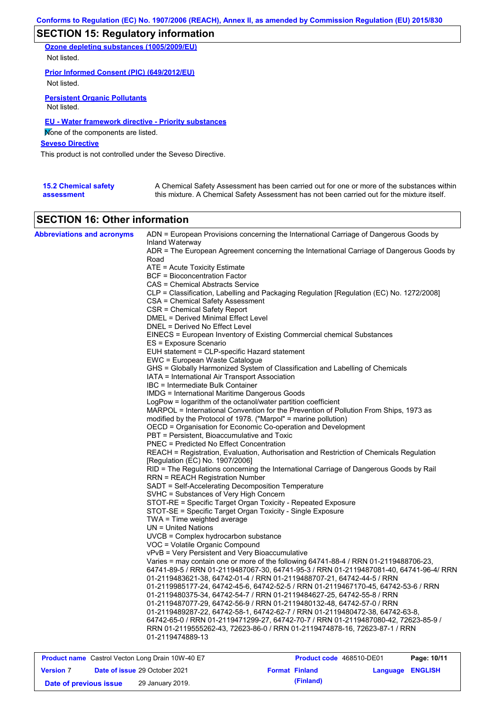# **SECTION 15: Regulatory information**

**Ozone depleting substances (1005/2009/EU)**

Not listed.

**Prior Informed Consent (PIC) (649/2012/EU)** Not listed.

**Persistent Organic Pollutants** Not listed.

### **EU - Water framework directive - Priority substances**

None of the components are listed.

### **Seveso Directive**

This product is not controlled under the Seveso Directive.

| <b>15.2 Chemical safety</b> | A Chemical Safety Assessment has been carried out for one or more of the substances within  |
|-----------------------------|---------------------------------------------------------------------------------------------|
| assessment                  | this mixture. A Chemical Safety Assessment has not been carried out for the mixture itself. |

### **SECTION 16: Other information**

| <b>Abbreviations and acronyms</b> | ADN = European Provisions concerning the International Carriage of Dangerous Goods by<br>Inland Waterway<br>ADR = The European Agreement concerning the International Carriage of Dangerous Goods by |
|-----------------------------------|------------------------------------------------------------------------------------------------------------------------------------------------------------------------------------------------------|
|                                   | Road                                                                                                                                                                                                 |
|                                   | ATE = Acute Toxicity Estimate                                                                                                                                                                        |
|                                   | <b>BCF</b> = Bioconcentration Factor                                                                                                                                                                 |
|                                   | CAS = Chemical Abstracts Service                                                                                                                                                                     |
|                                   | CLP = Classification, Labelling and Packaging Regulation [Regulation (EC) No. 1272/2008]                                                                                                             |
|                                   | CSA = Chemical Safety Assessment                                                                                                                                                                     |
|                                   | CSR = Chemical Safety Report                                                                                                                                                                         |
|                                   | <b>DMEL = Derived Minimal Effect Level</b>                                                                                                                                                           |
|                                   | DNEL = Derived No Effect Level                                                                                                                                                                       |
|                                   | EINECS = European Inventory of Existing Commercial chemical Substances                                                                                                                               |
|                                   | ES = Exposure Scenario                                                                                                                                                                               |
|                                   | EUH statement = CLP-specific Hazard statement                                                                                                                                                        |
|                                   | EWC = European Waste Catalogue                                                                                                                                                                       |
|                                   | GHS = Globally Harmonized System of Classification and Labelling of Chemicals                                                                                                                        |
|                                   | IATA = International Air Transport Association<br>IBC = Intermediate Bulk Container                                                                                                                  |
|                                   | <b>IMDG</b> = International Maritime Dangerous Goods                                                                                                                                                 |
|                                   | LogPow = logarithm of the octanol/water partition coefficient                                                                                                                                        |
|                                   | MARPOL = International Convention for the Prevention of Pollution From Ships, 1973 as                                                                                                                |
|                                   | modified by the Protocol of 1978. ("Marpol" = marine pollution)                                                                                                                                      |
|                                   | OECD = Organisation for Economic Co-operation and Development                                                                                                                                        |
|                                   | PBT = Persistent, Bioaccumulative and Toxic                                                                                                                                                          |
|                                   | PNEC = Predicted No Effect Concentration                                                                                                                                                             |
|                                   | REACH = Registration, Evaluation, Authorisation and Restriction of Chemicals Regulation                                                                                                              |
|                                   | [Regulation (EC) No. 1907/2006]                                                                                                                                                                      |
|                                   | RID = The Regulations concerning the International Carriage of Dangerous Goods by Rail                                                                                                               |
|                                   | <b>RRN = REACH Registration Number</b>                                                                                                                                                               |
|                                   | SADT = Self-Accelerating Decomposition Temperature                                                                                                                                                   |
|                                   | SVHC = Substances of Very High Concern                                                                                                                                                               |
|                                   | STOT-RE = Specific Target Organ Toxicity - Repeated Exposure                                                                                                                                         |
|                                   | STOT-SE = Specific Target Organ Toxicity - Single Exposure                                                                                                                                           |
|                                   | $TWA = Time weighted average$                                                                                                                                                                        |
|                                   | $UN = United Nations$<br>UVCB = Complex hydrocarbon substance                                                                                                                                        |
|                                   | VOC = Volatile Organic Compound                                                                                                                                                                      |
|                                   | vPvB = Very Persistent and Very Bioaccumulative                                                                                                                                                      |
|                                   | Varies = may contain one or more of the following 64741-88-4 / RRN 01-2119488706-23,                                                                                                                 |
|                                   | 64741-89-5 / RRN 01-2119487067-30, 64741-95-3 / RRN 01-2119487081-40, 64741-96-4/ RRN                                                                                                                |
|                                   | 01-2119483621-38, 64742-01-4 / RRN 01-2119488707-21, 64742-44-5 / RRN                                                                                                                                |
|                                   | 01-2119985177-24, 64742-45-6, 64742-52-5 / RRN 01-2119467170-45, 64742-53-6 / RRN                                                                                                                    |
|                                   | 01-2119480375-34, 64742-54-7 / RRN 01-2119484627-25, 64742-55-8 / RRN                                                                                                                                |
|                                   | 01-2119487077-29, 64742-56-9 / RRN 01-2119480132-48, 64742-57-0 / RRN                                                                                                                                |
|                                   | 01-2119489287-22, 64742-58-1, 64742-62-7 / RRN 01-2119480472-38, 64742-63-8,                                                                                                                         |
|                                   | 64742-65-0 / RRN 01-2119471299-27, 64742-70-7 / RRN 01-2119487080-42, 72623-85-9 /                                                                                                                   |
|                                   | RRN 01-2119555262-43, 72623-86-0 / RRN 01-2119474878-16, 72623-87-1 / RRN                                                                                                                            |
|                                   | 01-2119474889-13                                                                                                                                                                                     |
|                                   |                                                                                                                                                                                                      |

| <b>Product name</b> Castrol Vecton Long Drain 10W-40 E7 |  |                                      | <b>Product code</b> 468510-DE01 | Page: 10/11           |                         |  |
|---------------------------------------------------------|--|--------------------------------------|---------------------------------|-----------------------|-------------------------|--|
| <b>Version 7</b>                                        |  | <b>Date of issue 29 October 2021</b> |                                 | <b>Format Finland</b> | <b>Language ENGLISH</b> |  |
| Date of previous issue                                  |  | 29 January 2019.                     |                                 | (Finland)             |                         |  |